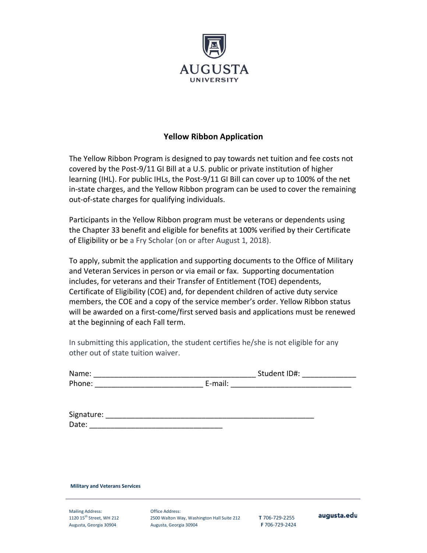

## **Yellow Ribbon Application**

The Yellow Ribbon Program is designed to pay towards net tuition and fee costs not covered by the Post-9/11 GI Bill at a U.S. public or private institution of higher learning (IHL). For public IHLs, the Post-9/11 GI Bill can cover up to 100% of the net in-state charges, and the Yellow Ribbon program can be used to cover the remaining out-of-state charges for qualifying individuals.

Participants in the Yellow Ribbon program must be veterans or dependents using the Chapter 33 benefit and eligible for benefits at 100% verified by their Certificate of Eligibility or be a Fry Scholar (on or after August 1, 2018).

To apply, submit the application and supporting documents to the Office of Military and Veteran Services in person or via email or fax. Supporting documentation includes, for veterans and their Transfer of Entitlement (TOE) dependents, Certificate of Eligibility (COE) and, for dependent children of active duty service members, the COE and a copy of the service member's order. Yellow Ribbon status will be awarded on a first-come/first served basis and applications must be renewed at the beginning of each Fall term.

In submitting this application, the student certifies he/she is not eligible for any other out of state tuition waiver.

| Name:  |         | Student ID#: |  |
|--------|---------|--------------|--|
| Phone: | E-mail: |              |  |
|        |         |              |  |

| Signature: |  |
|------------|--|
| Date:      |  |

**Military and Veterans Services** 

Mailing Address: Office Address:

1120 15th Street, WH 212 2500 Walton Way, Washington Hall Suite 212 **T** 706-729-2255 Augusta, Georgia 30904 Augusta, Georgia 30904 **F** 706-729-2424

augusta.edu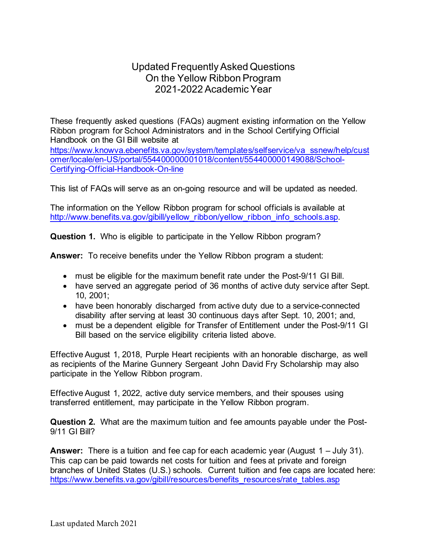## Updated Frequently Asked Questions On the Yellow Ribbon Program 2021-2022 Academic Year

These frequently asked questions (FAQs) augment existing information on the Yellow Ribbon program for School Administrators and in the School Certifying Official Handbook on the GI Bill website at

[https://www.knowva.ebenefits.va.gov/system/templates/selfservice/va\\_ssnew/help/cust](https://gcc01.safelinks.protection.outlook.com/?url=https%3A%2F%2Fwww.knowva.ebenefits.va.gov%2Fsystem%2Ftemplates%2Fselfservice%2Fva_ssnew%2Fhelp%2Fcustomer%2Flocale%2Fen-US%2Fportal%2F554400000001018%2Fcontent%2F554400000149088%2FSchool-Certifying-Official-Handbook-On-line&data=04%7C01%7C%7Ca94b0888dcc24b0d64fe08d8e7e33663%7Ce95f1b23abaf45ee821db7ab251ab3bf%7C0%7C0%7C637514310345733719%7CUnknown%7CTWFpbGZsb3d8eyJWIjoiMC4wLjAwMDAiLCJQIjoiV2luMzIiLCJBTiI6Ik1haWwiLCJXVCI6Mn0%3D%7C1000&sdata=i9h63eIRJxnnB8hrQo%2Fif4DPBc%2FWYA4%2BxC9PbjnbNDM%3D&reserved=0) [omer/locale/en-US/portal/554400000001018/content/554400000149088/School-](https://gcc01.safelinks.protection.outlook.com/?url=https%3A%2F%2Fwww.knowva.ebenefits.va.gov%2Fsystem%2Ftemplates%2Fselfservice%2Fva_ssnew%2Fhelp%2Fcustomer%2Flocale%2Fen-US%2Fportal%2F554400000001018%2Fcontent%2F554400000149088%2FSchool-Certifying-Official-Handbook-On-line&data=04%7C01%7C%7Ca94b0888dcc24b0d64fe08d8e7e33663%7Ce95f1b23abaf45ee821db7ab251ab3bf%7C0%7C0%7C637514310345733719%7CUnknown%7CTWFpbGZsb3d8eyJWIjoiMC4wLjAwMDAiLCJQIjoiV2luMzIiLCJBTiI6Ik1haWwiLCJXVCI6Mn0%3D%7C1000&sdata=i9h63eIRJxnnB8hrQo%2Fif4DPBc%2FWYA4%2BxC9PbjnbNDM%3D&reserved=0)[Certifying-Official-Handbook-On-line](https://gcc01.safelinks.protection.outlook.com/?url=https%3A%2F%2Fwww.knowva.ebenefits.va.gov%2Fsystem%2Ftemplates%2Fselfservice%2Fva_ssnew%2Fhelp%2Fcustomer%2Flocale%2Fen-US%2Fportal%2F554400000001018%2Fcontent%2F554400000149088%2FSchool-Certifying-Official-Handbook-On-line&data=04%7C01%7C%7Ca94b0888dcc24b0d64fe08d8e7e33663%7Ce95f1b23abaf45ee821db7ab251ab3bf%7C0%7C0%7C637514310345733719%7CUnknown%7CTWFpbGZsb3d8eyJWIjoiMC4wLjAwMDAiLCJQIjoiV2luMzIiLCJBTiI6Ik1haWwiLCJXVCI6Mn0%3D%7C1000&sdata=i9h63eIRJxnnB8hrQo%2Fif4DPBc%2FWYA4%2BxC9PbjnbNDM%3D&reserved=0)

This list of FAQs will serve as an on-going resource and will be updated as needed.

The information on the Yellow Ribbon program for school officials is available at http://www.benefits.va.gov/gibill/yellow\_ribbon/yellow\_ribbon\_info\_schools.asp.

**Question 1.** Who is eligible to participate in the Yellow Ribbon program?

**Answer:** To receive benefits under the Yellow Ribbon program a student:

- must be eligible for the maximum benefit rate under the Post-9/11 GI Bill.
- have served an aggregate period of 36 months of active duty service after Sept. 10, 2001;
- have been honorably discharged from active duty due to a service-connected disability after serving at least 30 continuous days after Sept. 10, 2001; and,
- must be a dependent eligible for Transfer of Entitlement under the Post-9/11 GI Bill based on the service eligibility criteria listed above.

Effective August 1, 2018, Purple Heart recipients with an honorable discharge, as well as recipients of the Marine Gunnery Sergeant John David Fry Scholarship may also participate in the Yellow Ribbon program.

Effective August 1, 2022, active duty service members, and their spouses using transferred entitlement, may participate in the Yellow Ribbon program.

**Question 2.** What are the maximum tuition and fee amounts payable under the Post-9/11 GI Bill?

**Answer:** There is a tuition and fee cap for each academic year (August 1 – July 31). This cap can be paid towards net costs for tuition and fees at private and foreign branches of United States (U.S.) schools. Current tuition and fee caps are located here: [https://www.benefits.va.gov/gibill/resources/benefits\\_resources/rate\\_tables.asp](https://www.benefits.va.gov/gibill/resources/benefits_resources/rate_tables.asp)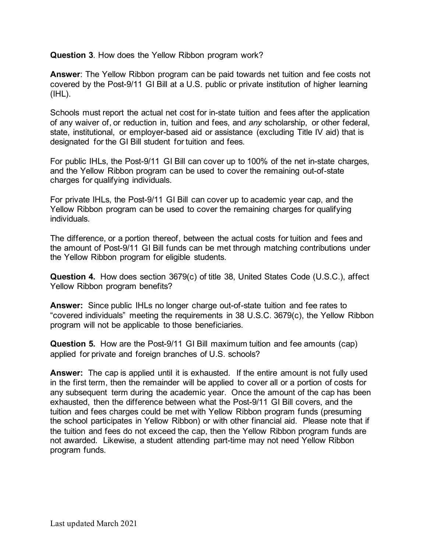**Question 3**. How does the Yellow Ribbon program work?

**Answer**: The Yellow Ribbon program can be paid towards net tuition and fee costs not covered by the Post-9/11 GI Bill at a U.S. public or private institution of higher learning (IHL).

Schools must report the actual net cost for in-state tuition and fees after the application of any waiver of, or reduction in, tuition and fees, and *any* scholarship, or other federal, state, institutional, or employer-based aid or assistance (excluding Title IV aid) that is designated for the GI Bill student for tuition and fees.

For public IHLs, the Post-9/11 GI Bill can cover up to 100% of the net in-state charges, and the Yellow Ribbon program can be used to cover the remaining out-of-state charges for qualifying individuals.

For private IHLs, the Post-9/11 GI Bill can cover up to academic year cap, and the Yellow Ribbon program can be used to cover the remaining charges for qualifying individuals.

The difference, or a portion thereof, between the actual costs for tuition and fees and the amount of Post-9/11 GI Bill funds can be met through matching contributions under the Yellow Ribbon program for eligible students.

**Question 4.** How does section 3679(c) of title 38, United States Code (U.S.C.), affect Yellow Ribbon program benefits?

**Answer:** Since public IHLs no longer charge out-of-state tuition and fee rates to "covered individuals" meeting the requirements in 38 U.S.C. 3679(c), the Yellow Ribbon program will not be applicable to those beneficiaries.

**Question 5.** How are the Post-9/11 GI Bill maximum tuition and fee amounts (cap) applied for private and foreign branches of U.S. schools?

**Answer:** The cap is applied until it is exhausted. If the entire amount is not fully used in the first term, then the remainder will be applied to cover all or a portion of costs for any subsequent term during the academic year. Once the amount of the cap has been exhausted, then the difference between what the Post-9/11 GI Bill covers, and the tuition and fees charges could be met with Yellow Ribbon program funds (presuming the school participates in Yellow Ribbon) or with other financial aid. Please note that if the tuition and fees do not exceed the cap, then the Yellow Ribbon program funds are not awarded. Likewise, a student attending part-time may not need Yellow Ribbon program funds.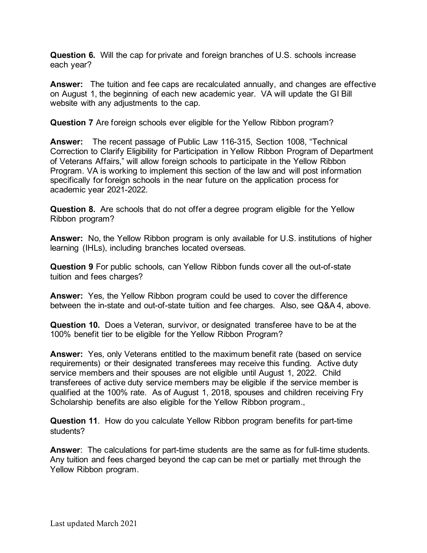**Question 6.** Will the cap for private and foreign branches of U.S. schools increase each year?

**Answer:** The tuition and fee caps are recalculated annually, and changes are effective on August 1, the beginning of each new academic year. VA will update the GI Bill website with any adjustments to the cap.

**Question 7** Are foreign schools ever eligible for the Yellow Ribbon program?

**Answer:** The recent passage of Public Law 116-315, Section 1008, "Technical Correction to Clarify Eligibility for Participation in Yellow Ribbon Program of Department of Veterans Affairs," will allow foreign schools to participate in the Yellow Ribbon Program. VA is working to implement this section of the law and will post information specifically for foreign schools in the near future on the application process for academic year 2021-2022.

**Question 8.** Are schools that do not offer a degree program eligible for the Yellow Ribbon program?

**Answer:** No, the Yellow Ribbon program is only available for U.S. institutions of higher learning (IHLs), including branches located overseas.

**Question 9** For public schools, can Yellow Ribbon funds cover all the out-of-state tuition and fees charges?

**Answer:** Yes, the Yellow Ribbon program could be used to cover the difference between the in-state and out-of-state tuition and fee charges. Also, see Q&A 4, above.

**Question 10.** Does a Veteran, survivor, or designated transferee have to be at the 100% benefit tier to be eligible for the Yellow Ribbon Program?

**Answer:** Yes, only Veterans entitled to the maximum benefit rate (based on service requirements) or their designated transferees may receive this funding. Active duty service members and their spouses are not eligible until August 1, 2022. Child transferees of active duty service members may be eligible if the service member is qualified at the 100% rate. As of August 1, 2018, spouses and children receiving Fry Scholarship benefits are also eligible for the Yellow Ribbon program.,

**Question 11**. How do you calculate Yellow Ribbon program benefits for part-time students?

**Answer**: The calculations for part-time students are the same as for full-time students. Any tuition and fees charged beyond the cap can be met or partially met through the Yellow Ribbon program.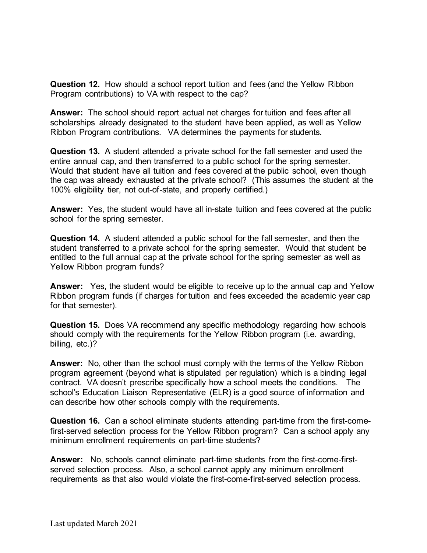**Question 12.** How should a school report tuition and fees (and the Yellow Ribbon Program contributions) to VA with respect to the cap?

**Answer:** The school should report actual net charges for tuition and fees after all scholarships already designated to the student have been applied, as well as Yellow Ribbon Program contributions. VA determines the payments for students.

**Question 13.** A student attended a private school for the fall semester and used the entire annual cap, and then transferred to a public school for the spring semester. Would that student have all tuition and fees covered at the public school, even though the cap was already exhausted at the private school? (This assumes the student at the 100% eligibility tier, not out-of-state, and properly certified.)

**Answer:** Yes, the student would have all in-state tuition and fees covered at the public school for the spring semester.

**Question 14.** A student attended a public school for the fall semester, and then the student transferred to a private school for the spring semester. Would that student be entitled to the full annual cap at the private school for the spring semester as well as Yellow Ribbon program funds?

**Answer:** Yes, the student would be eligible to receive up to the annual cap and Yellow Ribbon program funds (if charges for tuition and fees exceeded the academic year cap for that semester).

**Question 15.** Does VA recommend any specific methodology regarding how schools should comply with the requirements for the Yellow Ribbon program (i.e. awarding, billing, etc.)?

**Answer:** No, other than the school must comply with the terms of the Yellow Ribbon program agreement (beyond what is stipulated per regulation) which is a binding legal contract. VA doesn't prescribe specifically how a school meets the conditions. The school's Education Liaison Representative (ELR) is a good source of information and can describe how other schools comply with the requirements.

**Question 16.** Can a school eliminate students attending part-time from the first-comefirst-served selection process for the Yellow Ribbon program? Can a school apply any minimum enrollment requirements on part-time students?

**Answer:** No, schools cannot eliminate part-time students from the first-come-firstserved selection process. Also, a school cannot apply any minimum enrollment requirements as that also would violate the first-come-first-served selection process.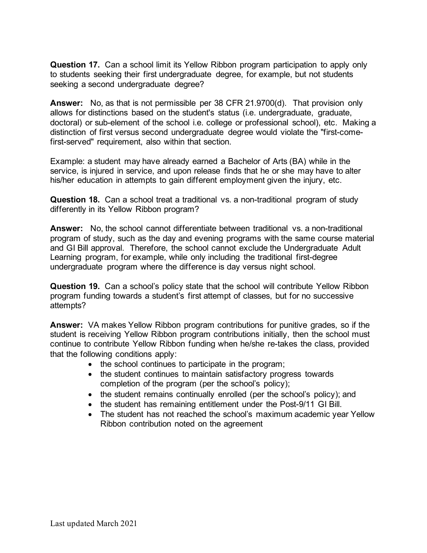**Question 17.** Can a school limit its Yellow Ribbon program participation to apply only to students seeking their first undergraduate degree, for example, but not students seeking a second undergraduate degree?

**Answer:** No, as that is not permissible per 38 CFR 21.9700(d). That provision only allows for distinctions based on the student's status (i.e. undergraduate, graduate, doctoral) or sub-element of the school i.e. college or professional school), etc. Making a distinction of first versus second undergraduate degree would violate the "first-comefirst-served" requirement, also within that section.

Example: a student may have already earned a Bachelor of Arts (BA) while in the service, is injured in service, and upon release finds that he or she may have to alter his/her education in attempts to gain different employment given the injury, etc.

**Question 18.** Can a school treat a traditional vs. a non-traditional program of study differently in its Yellow Ribbon program?

**Answer:** No, the school cannot differentiate between traditional vs. a non-traditional program of study, such as the day and evening programs with the same course material and GI Bill approval. Therefore, the school cannot exclude the Undergraduate Adult Learning program, for example, while only including the traditional first-degree undergraduate program where the difference is day versus night school.

**Question 19.** Can a school's policy state that the school will contribute Yellow Ribbon program funding towards a student's first attempt of classes, but for no successive attempts?

**Answer:** VA makes Yellow Ribbon program contributions for punitive grades, so if the student is receiving Yellow Ribbon program contributions initially, then the school must continue to contribute Yellow Ribbon funding when he/she re-takes the class, provided that the following conditions apply:

- the school continues to participate in the program;
- the student continues to maintain satisfactory progress towards completion of the program (per the school's policy);
- the student remains continually enrolled (per the school's policy); and
- the student has remaining entitlement under the Post-9/11 GI Bill.
- The student has not reached the school's maximum academic year Yellow Ribbon contribution noted on the agreement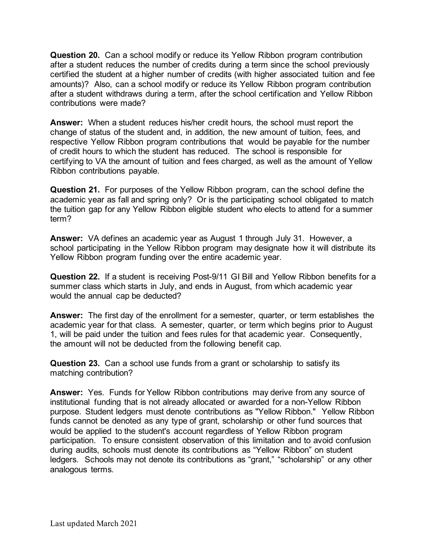**Question 20.** Can a school modify or reduce its Yellow Ribbon program contribution after a student reduces the number of credits during a term since the school previously certified the student at a higher number of credits (with higher associated tuition and fee amounts)? Also, can a school modify or reduce its Yellow Ribbon program contribution after a student withdraws during a term, after the school certification and Yellow Ribbon contributions were made?

**Answer:** When a student reduces his/her credit hours, the school must report the change of status of the student and, in addition, the new amount of tuition, fees, and respective Yellow Ribbon program contributions that would be payable for the number of credit hours to which the student has reduced. The school is responsible for certifying to VA the amount of tuition and fees charged, as well as the amount of Yellow Ribbon contributions payable.

**Question 21.** For purposes of the Yellow Ribbon program, can the school define the academic year as fall and spring only? Or is the participating school obligated to match the tuition gap for any Yellow Ribbon eligible student who elects to attend for a summer term?

**Answer:** VA defines an academic year as August 1 through July 31. However, a school participating in the Yellow Ribbon program may designate how it will distribute its Yellow Ribbon program funding over the entire academic year.

**Question 22.** If a student is receiving Post-9/11 GI Bill and Yellow Ribbon benefits for a summer class which starts in July, and ends in August, from which academic year would the annual cap be deducted?

**Answer:** The first day of the enrollment for a semester, quarter, or term establishes the academic year for that class. A semester, quarter, or term which begins prior to August 1, will be paid under the tuition and fees rules for that academic year. Consequently, the amount will not be deducted from the following benefit cap.

**Question 23.** Can a school use funds from a grant or scholarship to satisfy its matching contribution?

**Answer:** Yes. Funds for Yellow Ribbon contributions may derive from any source of institutional funding that is not already allocated or awarded for a non-Yellow Ribbon purpose. Student ledgers must denote contributions as "Yellow Ribbon." Yellow Ribbon funds cannot be denoted as any type of grant, scholarship or other fund sources that would be applied to the student's account regardless of Yellow Ribbon program participation. To ensure consistent observation of this limitation and to avoid confusion during audits, schools must denote its contributions as "Yellow Ribbon" on student ledgers. Schools may not denote its contributions as "grant," "scholarship" or any other analogous terms.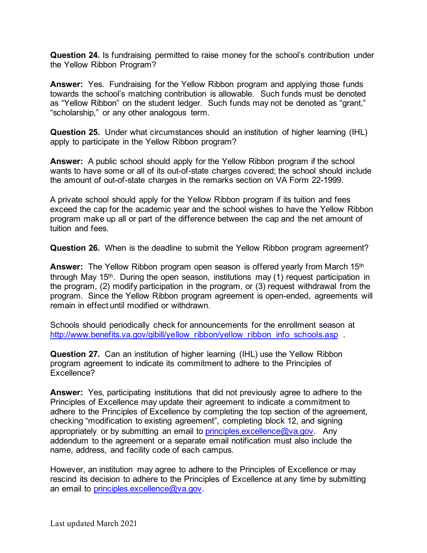**Question 24.** Is fundraising permitted to raise money for the school's contribution under the Yellow Ribbon Program?

**Answer:** Yes. Fundraising for the Yellow Ribbon program and applying those funds towards the school's matching contribution is allowable. Such funds must be denoted as "Yellow Ribbon" on the student ledger. Such funds may not be denoted as "grant," "scholarship," or any other analogous term.

**Question 25.** Under what circumstances should an institution of higher learning (IHL) apply to participate in the Yellow Ribbon program?

**Answer:** A public school should apply for the Yellow Ribbon program if the school wants to have some or all of its out-of-state charges covered; the school should include the amount of out-of-state charges in the remarks section on VA Form 22-1999.

A private school should apply for the Yellow Ribbon program if its tuition and fees exceed the cap for the academic year and the school wishes to have the Yellow Ribbon program make up all or part of the difference between the cap and the net amount of tuition and fees.

**Question 26.** When is the deadline to submit the Yellow Ribbon program agreement?

**Answer:** The Yellow Ribbon program open season is offered yearly from March 15th through May 15<sup>th</sup>. During the open season, institutions may  $(1)$  request participation in the program, (2) modify participation in the program, or (3) request withdrawal from the program. Since the Yellow Ribbon program agreement is open-ended, agreements will remain in effect until modified or withdrawn.

Schools should periodically check for announcements for the enrollment season at [http://www.benefits.va.gov/gibill/yellow\\_ribbon/yellow\\_ribbon\\_info\\_schools.asp](http://www.benefits.va.gov/gibill/yellow_ribbon/yellow_ribbon_info_schools.asp) .

**Question 27.** Can an institution of higher learning (IHL) use the Yellow Ribbon program agreement to indicate its commitment to adhere to the Principles of Excellence?

**Answer:** Yes, participating institutions that did not previously agree to adhere to the Principles of Excellence may update their agreement to indicate a commitment to adhere to the Principles of Excellence by completing the top section of the agreement, checking "modification to existing agreement", completing block 12, and signing appropriately or by submitting an email to [principles.excellence@va.gov.](mailto:principles.excellence@va.gov) Any addendum to the agreement or a separate email notification must also include the name, address, and facility code of each campus.

However, an institution may agree to adhere to the Principles of Excellence or may rescind its decision to adhere to the Principles of Excellence at any time by submitting an email to principles.excellence@va.gov.